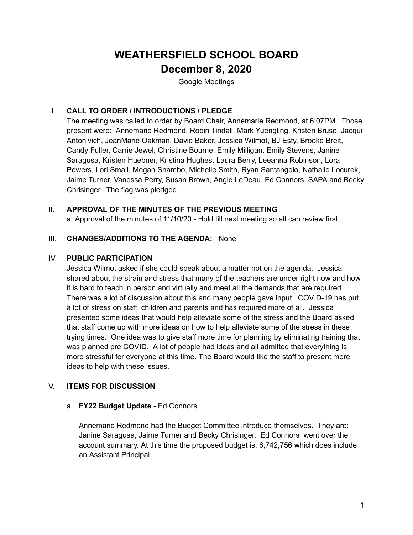# **WEATHERSFIELD SCHOOL BOARD December 8, 2020**

Google Meetings

# I. **CALL TO ORDER / INTRODUCTIONS / PLEDGE**

The meeting was called to order by Board Chair, Annemarie Redmond, at 6:07PM. Those present were: Annemarie Redmond, Robin Tindall, Mark Yuengling, Kristen Bruso, Jacqui Antonivich, JeanMarie Oakman, David Baker, Jessica Wilmot, BJ Esty, Brooke Breit, Candy Fuller, Carrie Jewel, Christine Bourne, Emily Milligan, Emily Stevens, Janine Saragusa, Kristen Huebner, Kristina Hughes, Laura Berry, Leeanna Robinson, Lora Powers, Lori Small, Megan Shambo, Michelle Smith, Ryan Santangelo, Nathalie Locurek, Jaime Turner, Vanessa Perry, Susan Brown, Angie LeDeau, Ed Connors, SAPA and Becky Chrisinger. The flag was pledged.

## II. **APPROVAL OF THE MINUTES OF THE PREVIOUS MEETING**

a. Approval of the minutes of 11/10/20 - Hold till next meeting so all can review first.

## III. **CHANGES/ADDITIONS TO THE AGENDA:** None

#### IV. **PUBLIC PARTICIPATION**

Jessica Wilmot asked if she could speak about a matter not on the agenda. Jessica shared about the strain and stress that many of the teachers are under right now and how it is hard to teach in person and virtually and meet all the demands that are required. There was a lot of discussion about this and many people gave input. COVID-19 has put a lot of stress on staff, children and parents and has required more of all. Jessica presented some ideas that would help alleviate some of the stress and the Board asked that staff come up with more ideas on how to help alleviate some of the stress in these trying times. One idea was to give staff more time for planning by eliminating training that was planned pre COVID. A lot of people had ideas and all admitted that everything is more stressful for everyone at this time. The Board would like the staff to present more ideas to help with these issues.

## V. **ITEMS FOR DISCUSSION**

## a. **FY22 Budget Update** - Ed Connors

Annemarie Redmond had the Budget Committee introduce themselves. They are: Janine Saragusa, Jaime Turner and Becky Chrisinger. Ed Connors went over the account summary. At this time the proposed budget is: 6,742,756 which does include an Assistant Principal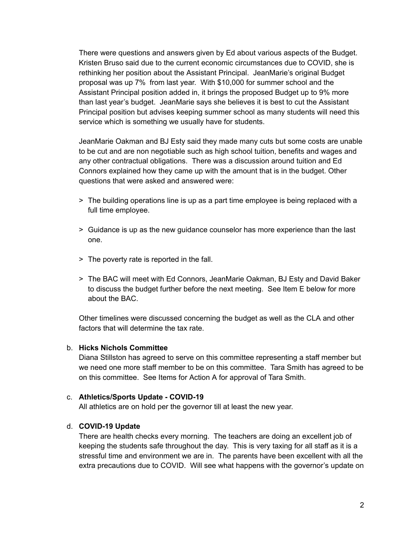There were questions and answers given by Ed about various aspects of the Budget. Kristen Bruso said due to the current economic circumstances due to COVID, she is rethinking her position about the Assistant Principal. JeanMarie's original Budget proposal was up 7% from last year. With \$10,000 for summer school and the Assistant Principal position added in, it brings the proposed Budget up to 9% more than last year's budget. JeanMarie says she believes it is best to cut the Assistant Principal position but advises keeping summer school as many students will need this service which is something we usually have for students.

JeanMarie Oakman and BJ Esty said they made many cuts but some costs are unable to be cut and are non negotiable such as high school tuition, benefits and wages and any other contractual obligations. There was a discussion around tuition and Ed Connors explained how they came up with the amount that is in the budget. Other questions that were asked and answered were:

- > The building operations line is up as a part time employee is being replaced with a full time employee.
- > Guidance is up as the new guidance counselor has more experience than the last one.
- > The poverty rate is reported in the fall.
- > The BAC will meet with Ed Connors, JeanMarie Oakman, BJ Esty and David Baker to discuss the budget further before the next meeting. See Item E below for more about the BAC.

Other timelines were discussed concerning the budget as well as the CLA and other factors that will determine the tax rate.

#### b. **Hicks Nichols Committee**

Diana Stillston has agreed to serve on this committee representing a staff member but we need one more staff member to be on this committee. Tara Smith has agreed to be on this committee. See Items for Action A for approval of Tara Smith.

#### c. **Athletics/Sports Update - COVID-19**

All athletics are on hold per the governor till at least the new year.

#### d. **COVID-19 Update**

There are health checks every morning. The teachers are doing an excellent job of keeping the students safe throughout the day. This is very taxing for all staff as it is a stressful time and environment we are in. The parents have been excellent with all the extra precautions due to COVID. Will see what happens with the governor's update on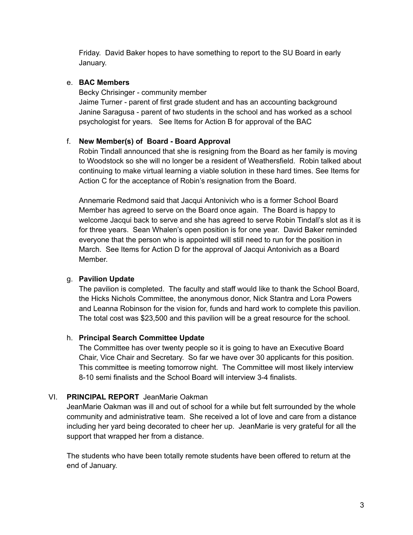Friday. David Baker hopes to have something to report to the SU Board in early January.

## e. **BAC Members**

Becky Chrisinger - community member

Jaime Turner - parent of first grade student and has an accounting background Janine Saragusa - parent of two students in the school and has worked as a school psychologist for years. See Items for Action B for approval of the BAC

## f. **New Member(s) of Board - Board Approval**

Robin Tindall announced that she is resigning from the Board as her family is moving to Woodstock so she will no longer be a resident of Weathersfield. Robin talked about continuing to make virtual learning a viable solution in these hard times. See Items for Action C for the acceptance of Robin's resignation from the Board.

Annemarie Redmond said that Jacqui Antonivich who is a former School Board Member has agreed to serve on the Board once again. The Board is happy to welcome Jacqui back to serve and she has agreed to serve Robin Tindall's slot as it is for three years. Sean Whalen's open position is for one year. David Baker reminded everyone that the person who is appointed will still need to run for the position in March. See Items for Action D for the approval of Jacqui Antonivich as a Board Member.

## g. **Pavilion Update**

The pavilion is completed. The faculty and staff would like to thank the School Board, the Hicks Nichols Committee, the anonymous donor, Nick Stantra and Lora Powers and Leanna Robinson for the vision for, funds and hard work to complete this pavilion. The total cost was \$23,500 and this pavilion will be a great resource for the school.

## h. **Principal Search Committee Update**

The Committee has over twenty people so it is going to have an Executive Board Chair, Vice Chair and Secretary. So far we have over 30 applicants for this position. This committee is meeting tomorrow night. The Committee will most likely interview 8-10 semi finalists and the School Board will interview 3-4 finalists.

## VI. **PRINCIPAL REPORT** JeanMarie Oakman

JeanMarie Oakman was ill and out of school for a while but felt surrounded by the whole community and administrative team. She received a lot of love and care from a distance including her yard being decorated to cheer her up. JeanMarie is very grateful for all the support that wrapped her from a distance.

The students who have been totally remote students have been offered to return at the end of January.